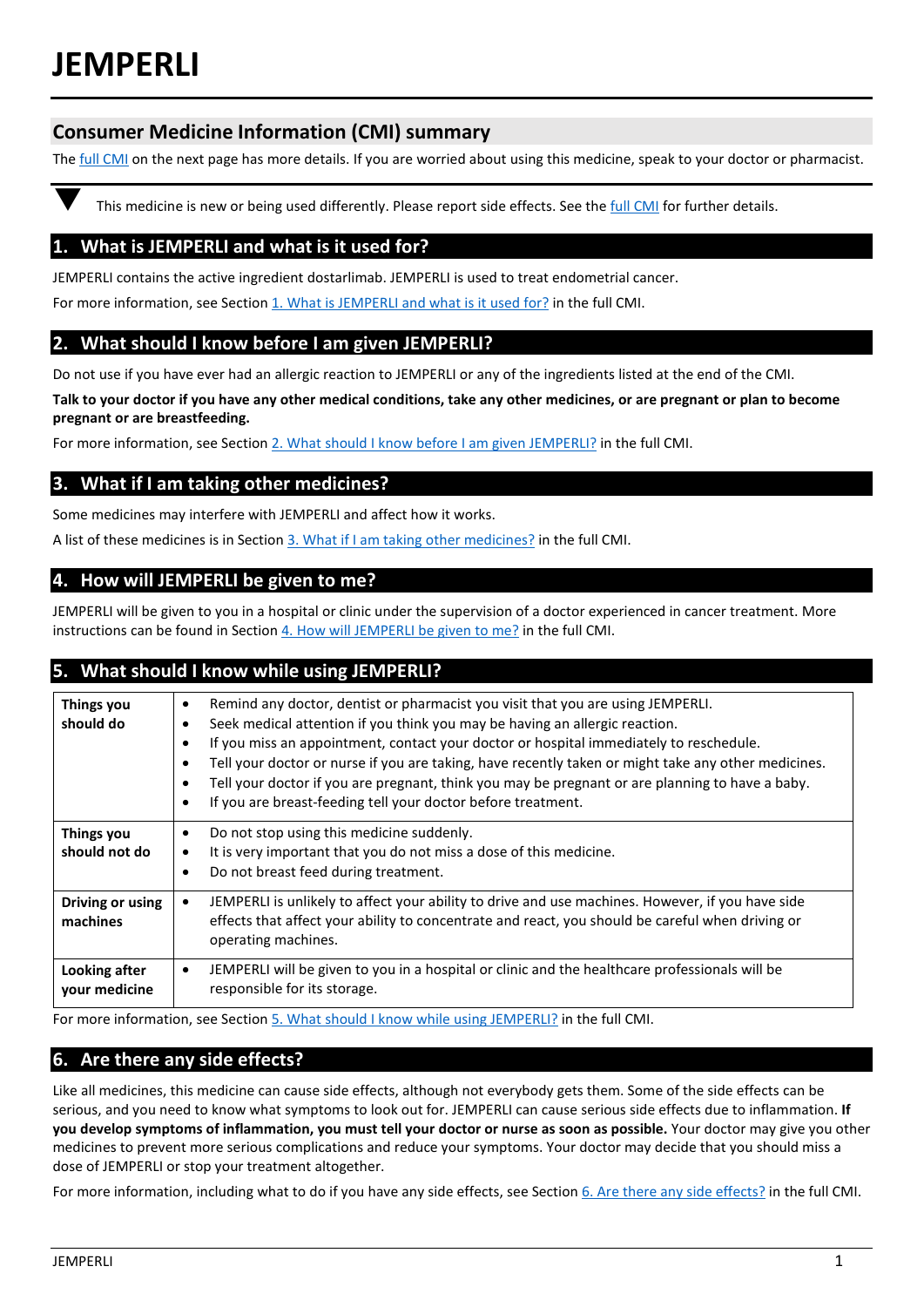# **JEMPERLI**

# **Consumer Medicine Information (CMI) summary**

The **full CMI** on the next page has more details. If you are worried about using this medicine, speak to your doctor or pharmacist.

This medicine is new or being used differently. Please report side effects. See th[e full CMI](#page-1-0) for further details.

# **1. What is JEMPERLI and what is it used for?**

JEMPERLI contains the active ingredient dostarlimab. JEMPERLI is used to treat endometrial cancer.

For more information, see Section 1. What is JEMPERLI and what is it used for? in the full CMI.

## **2. What should I know before I am given JEMPERLI?**

Do not use if you have ever had an allergic reaction to JEMPERLI or any of the ingredients listed at the end of the CMI.

**Talk to your doctor if you have any other medical conditions, take any other medicines, or are pregnant or plan to become pregnant or are breastfeeding.** 

For more information, see Section [2. What should I know before I](#page-1-1) am given JEMPERLI? in the full CMI.

## **3. What if I am taking other medicines?**

Some medicines may interfere with JEMPERLI and affect how it works.

A list of these medicines is in Section [3. What if I am taking other medicines?](#page-1-2) in the full CMI.

## **4. How will JEMPERLI be given to me?**

JEMPERLI will be given to you in a hospital or clinic under the supervision of a doctor experienced in cancer treatment. More instructions can be found in Section 4. How will JEMPERLI [be given to me?](#page-2-0) in the full CMI.

## **5. What should I know while using JEMPERLI?**

| Things you<br>should do            | Remind any doctor, dentist or pharmacist you visit that you are using JEMPERLI.<br>$\bullet$<br>Seek medical attention if you think you may be having an allergic reaction.<br>٠<br>If you miss an appointment, contact your doctor or hospital immediately to reschedule.<br>$\bullet$<br>Tell your doctor or nurse if you are taking, have recently taken or might take any other medicines.<br>$\bullet$<br>Tell your doctor if you are pregnant, think you may be pregnant or are planning to have a baby.<br>$\bullet$<br>If you are breast-feeding tell your doctor before treatment.<br>$\bullet$ |  |
|------------------------------------|----------------------------------------------------------------------------------------------------------------------------------------------------------------------------------------------------------------------------------------------------------------------------------------------------------------------------------------------------------------------------------------------------------------------------------------------------------------------------------------------------------------------------------------------------------------------------------------------------------|--|
| <b>Things you</b><br>should not do | Do not stop using this medicine suddenly.<br>$\bullet$<br>It is very important that you do not miss a dose of this medicine.<br>$\bullet$<br>Do not breast feed during treatment.<br>$\bullet$                                                                                                                                                                                                                                                                                                                                                                                                           |  |
| Driving or using<br>machines       | JEMPERLI is unlikely to affect your ability to drive and use machines. However, if you have side<br>$\bullet$<br>effects that affect your ability to concentrate and react, you should be careful when driving or<br>operating machines.                                                                                                                                                                                                                                                                                                                                                                 |  |
| Looking after<br>vour medicine     | JEMPERLI will be given to you in a hospital or clinic and the healthcare professionals will be<br>$\bullet$<br>responsible for its storage.                                                                                                                                                                                                                                                                                                                                                                                                                                                              |  |

For more information, see Section [5. What should I know while using JEMPERLI?](#page-2-1) in the full CMI.

# **6. Are there any side effects?**

Like all medicines, this medicine can cause side effects, although not everybody gets them. Some of the side effects can be serious, and you need to know what symptoms to look out for. JEMPERLI can cause serious side effects due to inflammation. **If you develop symptoms of inflammation, you must tell your doctor or nurse as soon as possible.** Your doctor may give you other medicines to prevent more serious complications and reduce your symptoms. Your doctor may decide that you should miss a dose of JEMPERLI or stop your treatment altogether.

For more information, including what to do if you have any side effects, see Section [6. Are there any side effects?](#page-2-2) in the full CMI.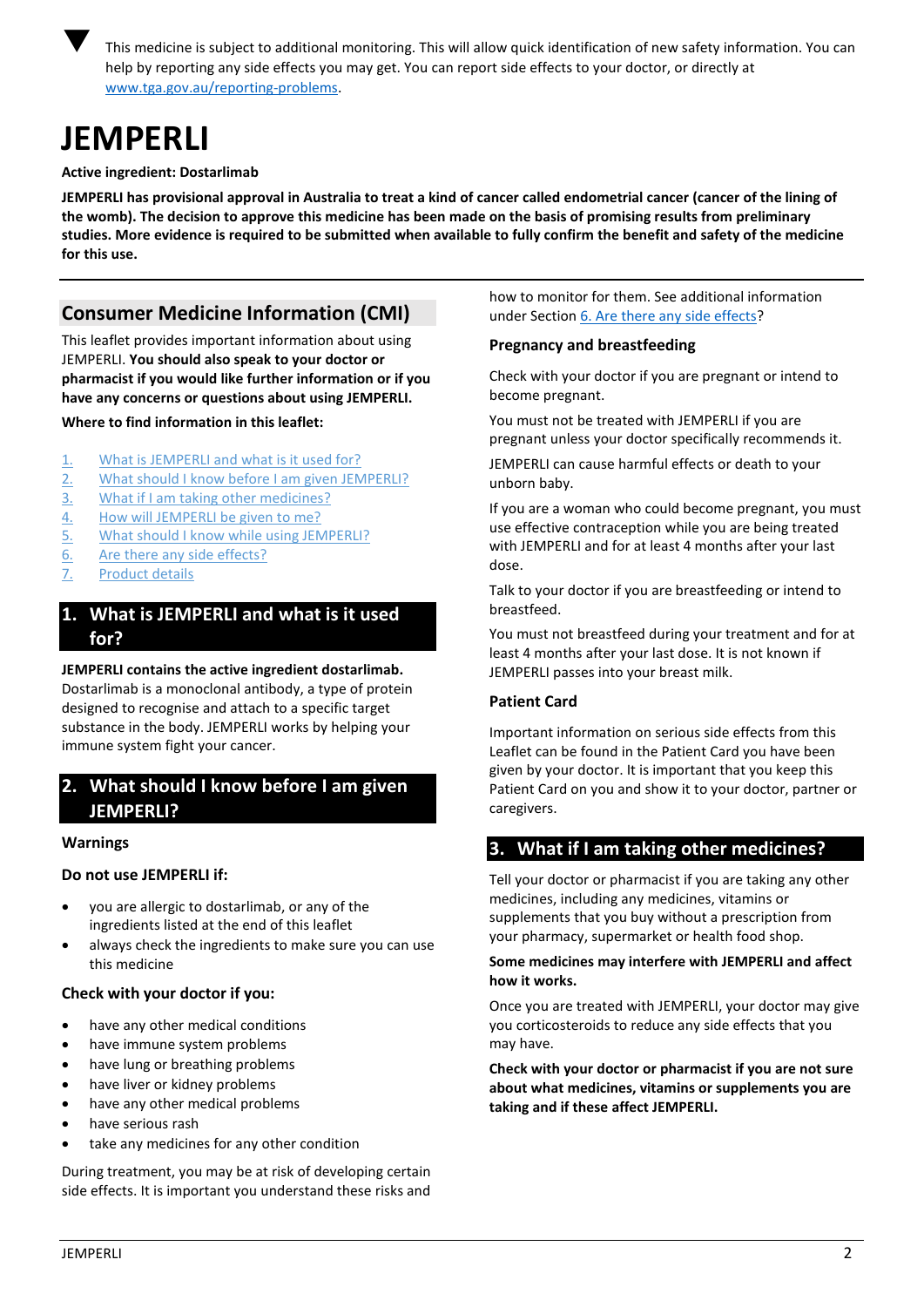

 This medicine is subject to additional monitoring. This will allow quick identification of new safety information. You can help by reporting any side effects you may get. You can report side effects to your doctor, or directly at [www.tga.gov.au/reporting-problems.](http://www.tga.gov.au/reporting-problems)

# <span id="page-1-0"></span>**JEMPERLI**

#### **Active ingredient: Dostarlimab**

**JEMPERLI has provisional approval in Australia to treat a kind of cancer called endometrial cancer (cancer of the lining of the womb). The decision to approve this medicine has been made on the basis of promising results from preliminary studies. More evidence is required to be submitted when available to fully confirm the benefit and safety of the medicine for this use.**

# **Consumer Medicine Information (CMI)**

This leaflet provides important information about using JEMPERLI. **You should also speak to your doctor or pharmacist if you would like further information or if you have any concerns or questions about using JEMPERLI.**

#### **Where to find information in this leaflet:**

- 1. What is JEMPERLI [and what is it used for?](#page-1-3)
- 2. [What should I know before I am given](#page-1-1) JEMPERLI?
- 3. [What if I am taking other medicines?](#page-1-2)
- 4. How will JEMPERLI [be given to me?](#page-2-0)
- 5. [What should I know while using JEMPERLI?](#page-2-1)
- 6. [Are there any side effects?](#page-2-2)
- 7. [Product details](#page-4-0)

# <span id="page-1-3"></span>**1. What is JEMPERLI and what is it used for?**

**JEMPERLI contains the active ingredient dostarlimab.** Dostarlimab is a monoclonal antibody, a type of protein designed to recognise and attach to a specific target substance in the body. JEMPERLI works by helping your immune system fight your cancer.

# <span id="page-1-1"></span>**2. What should I know before I am given JEMPERLI?**

#### **Warnings**

## **Do not use JEMPERLI if:**

- you are allergic to dostarlimab, or any of the ingredients listed at the end of this leaflet
- always check the ingredients to make sure you can use this medicine

## **Check with your doctor if you:**

- have any other medical conditions
- have immune system problems
- have lung or breathing problems
- have liver or kidney problems
- have any other medical problems
- have serious rash
- take any medicines for any other condition

During treatment, you may be at risk of developing certain side effects. It is important you understand these risks and

how to monitor for them. See additional information under Section [6. Are there any side effects?](#page-2-2)

## **Pregnancy and breastfeeding**

Check with your doctor if you are pregnant or intend to become pregnant.

You must not be treated with JEMPERLI if you are pregnant unless your doctor specifically recommends it.

JEMPERLI can cause harmful effects or death to your unborn baby.

If you are a woman who could become pregnant, you must use effective contraception while you are being treated with JEMPERLI and for at least 4 months after your last dose.

Talk to your doctor if you are breastfeeding or intend to breastfeed.

You must not breastfeed during your treatment and for at least 4 months after your last dose. It is not known if JEMPERLI passes into your breast milk.

## **Patient Card**

Important information on serious side effects from this Leaflet can be found in the Patient Card you have been given by your doctor. It is important that you keep this Patient Card on you and show it to your doctor, partner or caregivers.

## <span id="page-1-2"></span>**3. What if I am taking other medicines?**

Tell your doctor or pharmacist if you are taking any other medicines, including any medicines, vitamins or supplements that you buy without a prescription from your pharmacy, supermarket or health food shop.

#### **Some medicines may interfere with JEMPERLI and affect how it works.**

Once you are treated with JEMPERLI, your doctor may give you corticosteroids to reduce any side effects that you may have.

**Check with your doctor or pharmacist if you are not sure about what medicines, vitamins or supplements you are taking and if these affect JEMPERLI.**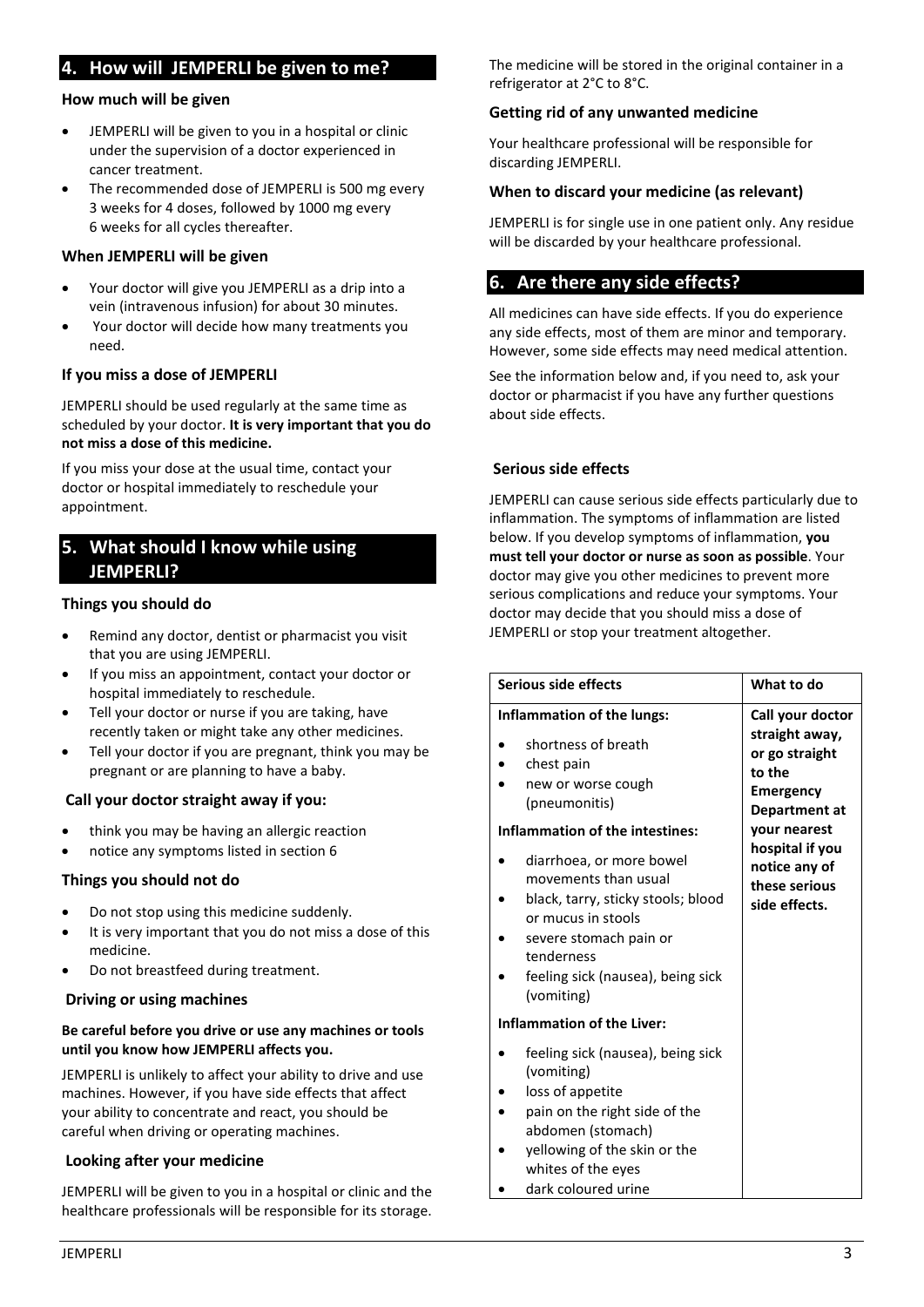## <span id="page-2-0"></span>**4. How will JEMPERLI be given to me?**

#### **How much will be given**

- JEMPERLI will be given to you in a hospital or clinic under the supervision of a doctor experienced in cancer treatment.
- The recommended dose of JEMPERLI is 500 mg every 3 weeks for 4 doses, followed by 1000 mg every 6 weeks for all cycles thereafter.

#### **When JEMPERLI will be given**

- Your doctor will give you JEMPERLI as a drip into a vein (intravenous infusion) for about 30 minutes.
- Your doctor will decide how many treatments you need.

#### **If you miss a dose of JEMPERLI**

JEMPERLI should be used regularly at the same time as scheduled by your doctor. **It is very important that you do not miss a dose of this medicine.**

If you miss your dose at the usual time, contact your doctor or hospital immediately to reschedule your appointment.

## <span id="page-2-1"></span>**5. What should I know while using JEMPERLI?**

#### **Things you should do**

- Remind any doctor, dentist or pharmacist you visit that you are using JEMPERLI.
- If you miss an appointment, contact your doctor or hospital immediately to reschedule.
- Tell your doctor or nurse if you are taking, have recently taken or might take any other medicines.
- Tell your doctor if you are pregnant, think you may be pregnant or are planning to have a baby.

## **Call your doctor straight away if you:**

- think you may be having an allergic reaction
- notice any symptoms listed in section 6

## **Things you should not do**

- Do not stop using this medicine suddenly.
- It is very important that you do not miss a dose of this medicine.
- Do not breastfeed during treatment.

#### **Driving or using machines**

#### **Be careful before you drive or use any machines or tools until you know how JEMPERLI affects you.**

JEMPERLI is unlikely to affect your ability to drive and use machines. However, if you have side effects that affect your ability to concentrate and react, you should be careful when driving or operating machines.

## **Looking after your medicine**

JEMPERLI will be given to you in a hospital or clinic and the healthcare professionals will be responsible for its storage. The medicine will be stored in the original container in a refrigerator at 2°C to 8°C.

#### **Getting rid of any unwanted medicine**

Your healthcare professional will be responsible for discarding JEMPERLI.

#### **When to discard your medicine (as relevant)**

JEMPERLI is for single use in one patient only. Any residue will be discarded by your healthcare professional.

## <span id="page-2-2"></span>**6. Are there any side effects?**

All medicines can have side effects. If you do experience any side effects, most of them are minor and temporary. However, some side effects may need medical attention.

See the information below and, if you need to, ask your doctor or pharmacist if you have any further questions about side effects.

## **Serious side effects**

JEMPERLI can cause serious side effects particularly due to inflammation. The symptoms of inflammation are listed below. If you develop symptoms of inflammation, **you must tell your doctor or nurse as soon as possible**. Your doctor may give you other medicines to prevent more serious complications and reduce your symptoms. Your doctor may decide that you should miss a dose of JEMPERLI or stop your treatment altogether.

| Serious side effects                                                                                                                                                                                                                                                                                                                                 | What to do                                                                                                                                                                                |
|------------------------------------------------------------------------------------------------------------------------------------------------------------------------------------------------------------------------------------------------------------------------------------------------------------------------------------------------------|-------------------------------------------------------------------------------------------------------------------------------------------------------------------------------------------|
| Inflammation of the lungs:<br>shortness of breath<br>chest pain<br>new or worse cough<br>(pneumonitis)<br>Inflammation of the intestines:<br>diarrhoea, or more bowel<br>movements than usual<br>black, tarry, sticky stools; blood<br>or mucus in stools<br>severe stomach pain or<br>tenderness<br>feeling sick (nausea), being sick<br>(vomiting) | Call your doctor<br>straight away,<br>or go straight<br>to the<br><b>Emergency</b><br>Department at<br>your nearest<br>hospital if you<br>notice any of<br>these serious<br>side effects. |
| <b>Inflammation of the Liver:</b>                                                                                                                                                                                                                                                                                                                    |                                                                                                                                                                                           |
| feeling sick (nausea), being sick<br>(vomiting)<br>loss of appetite<br>pain on the right side of the<br>abdomen (stomach)<br>yellowing of the skin or the                                                                                                                                                                                            |                                                                                                                                                                                           |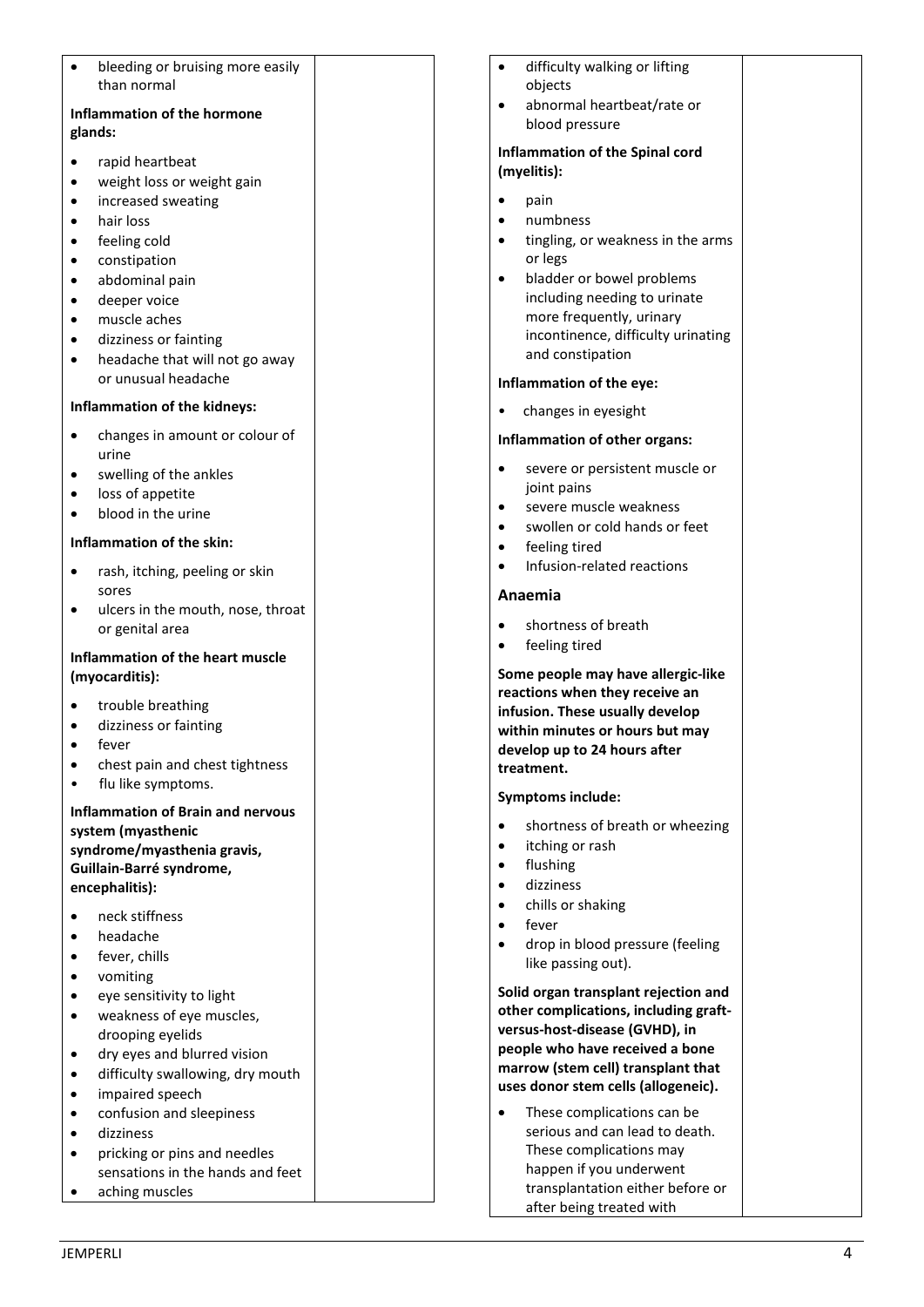| bleeding or bruising more easily<br>than normal |  |
|-------------------------------------------------|--|
| <b>Inflammation of the hormone</b>              |  |
|                                                 |  |
| glands:                                         |  |
| rapid heartbeat                                 |  |
| weight loss or weight gain                      |  |
| increased sweating                              |  |
| hair loss                                       |  |
| feeling cold                                    |  |
| constipation                                    |  |
| abdominal pain                                  |  |
| deeper voice                                    |  |
| muscle aches                                    |  |
| dizziness or fainting                           |  |
| headache that will not go away                  |  |
| or unusual headache                             |  |
|                                                 |  |
| Inflammation of the kidneys:                    |  |
| changes in amount or colour of                  |  |
| urine                                           |  |
| swelling of the ankles                          |  |
| loss of appetite                                |  |
| blood in the urine                              |  |
| Inflammation of the skin:                       |  |
|                                                 |  |
| rash, itching, peeling or skin                  |  |
| sores                                           |  |
| ulcers in the mouth, nose, throat               |  |
| or genital area                                 |  |
| Inflammation of the heart muscle                |  |
| (myocarditis):                                  |  |
|                                                 |  |
| trouble breathing                               |  |
| dizziness or fainting                           |  |
| fever                                           |  |
| chest pain and chest tightness                  |  |
| flu like symptoms.                              |  |
| <b>Inflammation of Brain and nervous</b>        |  |
| system (myasthenic                              |  |
| syndrome/myasthenia gravis,                     |  |
| Guillain-Barré syndrome,                        |  |
| encephalitis):                                  |  |
| neck stiffness                                  |  |
| headache                                        |  |
| fever, chills                                   |  |
|                                                 |  |
| vomiting                                        |  |
| eye sensitivity to light                        |  |
| weakness of eye muscles,                        |  |
| drooping eyelids                                |  |
| dry eyes and blurred vision                     |  |
| difficulty swallowing, dry mouth                |  |
| impaired speech                                 |  |
| confusion and sleepiness                        |  |
| dizziness                                       |  |
| pricking or pins and needles                    |  |
| sensations in the hands and feet                |  |

|                                                | difficulty walking or lifting<br>objects                                                                                                                                                                                        |  |
|------------------------------------------------|---------------------------------------------------------------------------------------------------------------------------------------------------------------------------------------------------------------------------------|--|
|                                                | abnormal heartbeat/rate or<br>blood pressure                                                                                                                                                                                    |  |
| Inflammation of the Spinal cord<br>(myelitis): |                                                                                                                                                                                                                                 |  |
|                                                | pain                                                                                                                                                                                                                            |  |
|                                                | numbness<br>tingling, or weakness in the arms                                                                                                                                                                                   |  |
|                                                | or legs<br>bladder or bowel problems<br>including needing to urinate<br>more frequently, urinary<br>incontinence, difficulty urinating<br>and constipation                                                                      |  |
|                                                | Inflammation of the eye:                                                                                                                                                                                                        |  |
|                                                | changes in eyesight                                                                                                                                                                                                             |  |
|                                                | Inflammation of other organs:                                                                                                                                                                                                   |  |
|                                                | severe or persistent muscle or<br>joint pains<br>severe muscle weakness<br>swollen or cold hands or feet<br>feeling tired<br>Infusion-related reactions                                                                         |  |
|                                                | Anaemia                                                                                                                                                                                                                         |  |
|                                                | shortness of breath<br>feeling tired                                                                                                                                                                                            |  |
|                                                | Some people may have allergic-like<br>reactions when they receive an<br>infusion. These usually develop<br>within minutes or hours but may<br>develop up to 24 hours after<br>treatment.                                        |  |
|                                                | <b>Symptoms include:</b>                                                                                                                                                                                                        |  |
|                                                | shortness of breath or wheezing<br>itching or rash<br>flushing                                                                                                                                                                  |  |
|                                                | dizziness<br>chills or shaking                                                                                                                                                                                                  |  |
|                                                | fever                                                                                                                                                                                                                           |  |
|                                                | drop in blood pressure (feeling<br>like passing out).                                                                                                                                                                           |  |
|                                                | Solid organ transplant rejection and<br>other complications, including graft-<br>versus-host-disease (GVHD), in<br>people who have received a bone<br>marrow (stem cell) transplant that<br>uses donor stem cells (allogeneic). |  |
|                                                | These complications can be<br>serious and can lead to death.                                                                                                                                                                    |  |

These complications may happen if you underwent transplantation either before or after being treated with

• aching muscles